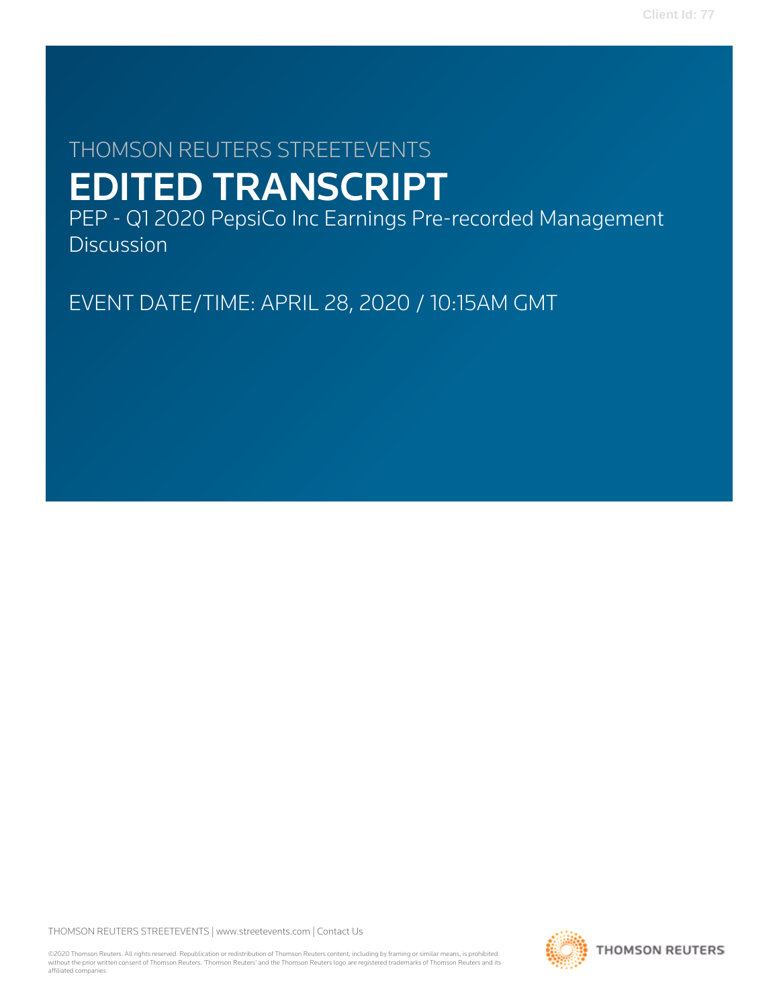# THOMSON REUTERS STREETEVENTS EDITED TRANSCRIPT

PEP - Q1 2020 PepsiCo Inc Earnings Pre-recorded Management **Discussion** 

EVENT DATE/TIME: APRIL 28, 2020 / 10:15AM GMT

THOMSON REUTERS STREETEVENTS | [www.streetevents.com](http://www.streetevents.com) | [Contact Us](http://www010.streetevents.com/contact.asp)

©2020 Thomson Reuters. All rights reserved. Republication or redistribution of Thomson Reuters content, including by framing or similar means, is prohibited without the prior written consent of Thomson Reuters. 'Thomson Reuters' and the Thomson Reuters logo are registered trademarks of Thomson Reuters and its affiliated companies.

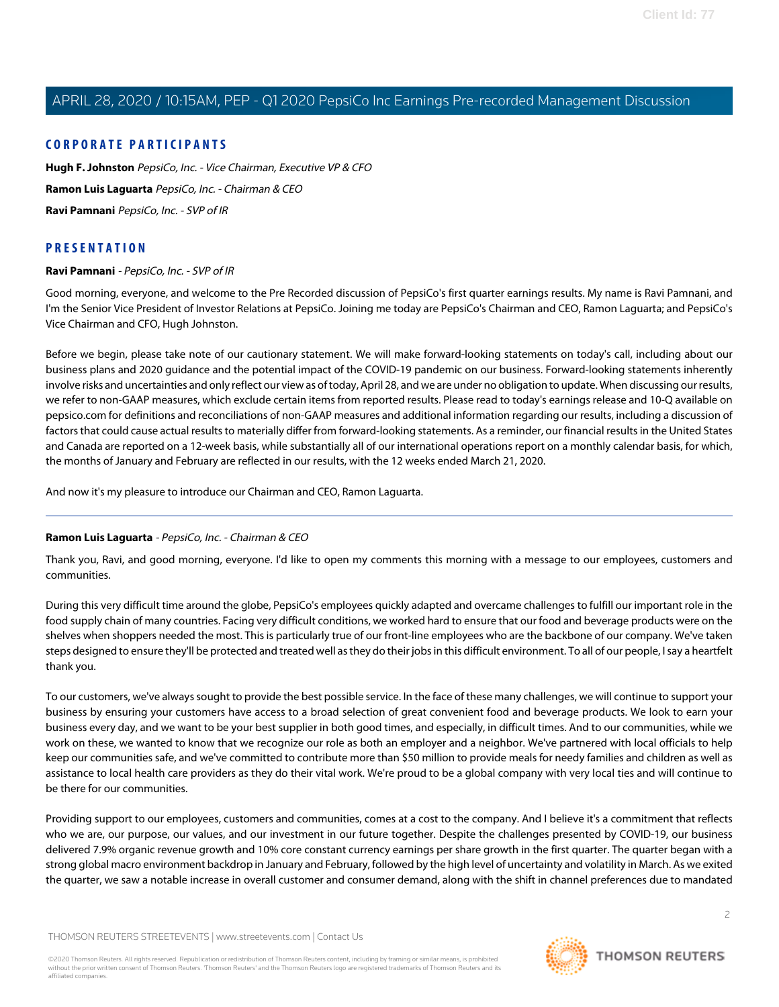## **CORPORATE PARTICIPANTS**

**[Hugh F. Johnston](#page-4-0)** PepsiCo, Inc. - Vice Chairman, Executive VP & CFO **[Ramon Luis Laguarta](#page-1-0)** PepsiCo, Inc. - Chairman & CEO **[Ravi Pamnani](#page-1-1)** PepsiCo, Inc. - SVP of IR

## <span id="page-1-1"></span>**PRESENTATION**

#### **Ravi Pamnani** - PepsiCo, Inc. - SVP of IR

Good morning, everyone, and welcome to the Pre Recorded discussion of PepsiCo's first quarter earnings results. My name is Ravi Pamnani, and I'm the Senior Vice President of Investor Relations at PepsiCo. Joining me today are PepsiCo's Chairman and CEO, Ramon Laguarta; and PepsiCo's Vice Chairman and CFO, Hugh Johnston.

Before we begin, please take note of our cautionary statement. We will make forward-looking statements on today's call, including about our business plans and 2020 guidance and the potential impact of the COVID-19 pandemic on our business. Forward-looking statements inherently involve risks and uncertainties and only reflect our view as of today, April 28, and we are under no obligation to update. When discussing our results, we refer to non-GAAP measures, which exclude certain items from reported results. Please read to today's earnings release and 10-Q available on pepsico.com for definitions and reconciliations of non-GAAP measures and additional information regarding our results, including a discussion of factors that could cause actual results to materially differ from forward-looking statements. As a reminder, our financial results in the United States and Canada are reported on a 12-week basis, while substantially all of our international operations report on a monthly calendar basis, for which, the months of January and February are reflected in our results, with the 12 weeks ended March 21, 2020.

<span id="page-1-0"></span>And now it's my pleasure to introduce our Chairman and CEO, Ramon Laguarta.

### **Ramon Luis Laguarta** - PepsiCo, Inc. - Chairman & CEO

Thank you, Ravi, and good morning, everyone. I'd like to open my comments this morning with a message to our employees, customers and communities.

During this very difficult time around the globe, PepsiCo's employees quickly adapted and overcame challenges to fulfill our important role in the food supply chain of many countries. Facing very difficult conditions, we worked hard to ensure that our food and beverage products were on the shelves when shoppers needed the most. This is particularly true of our front-line employees who are the backbone of our company. We've taken steps designed to ensure they'll be protected and treated well as they do their jobs in this difficult environment. To all of our people, I say a heartfelt thank you.

To our customers, we've always sought to provide the best possible service. In the face of these many challenges, we will continue to support your business by ensuring your customers have access to a broad selection of great convenient food and beverage products. We look to earn your business every day, and we want to be your best supplier in both good times, and especially, in difficult times. And to our communities, while we work on these, we wanted to know that we recognize our role as both an employer and a neighbor. We've partnered with local officials to help keep our communities safe, and we've committed to contribute more than \$50 million to provide meals for needy families and children as well as assistance to local health care providers as they do their vital work. We're proud to be a global company with very local ties and will continue to be there for our communities.

Providing support to our employees, customers and communities, comes at a cost to the company. And I believe it's a commitment that reflects who we are, our purpose, our values, and our investment in our future together. Despite the challenges presented by COVID-19, our business delivered 7.9% organic revenue growth and 10% core constant currency earnings per share growth in the first quarter. The quarter began with a strong global macro environment backdrop in January and February, followed by the high level of uncertainty and volatility in March. As we exited the quarter, we saw a notable increase in overall customer and consumer demand, along with the shift in channel preferences due to mandated

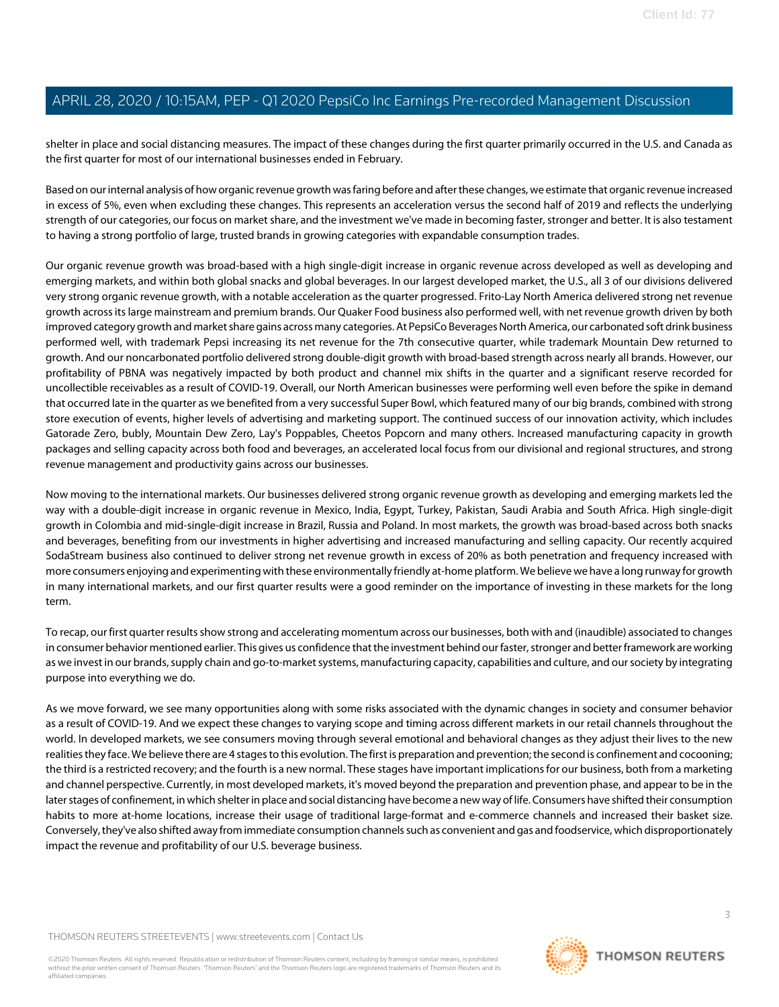shelter in place and social distancing measures. The impact of these changes during the first quarter primarily occurred in the U.S. and Canada as the first quarter for most of our international businesses ended in February.

Based on our internal analysis of how organic revenue growth was faring before and after these changes, we estimate that organic revenue increased in excess of 5%, even when excluding these changes. This represents an acceleration versus the second half of 2019 and reflects the underlying strength of our categories, our focus on market share, and the investment we've made in becoming faster, stronger and better. It is also testament to having a strong portfolio of large, trusted brands in growing categories with expandable consumption trades.

Our organic revenue growth was broad-based with a high single-digit increase in organic revenue across developed as well as developing and emerging markets, and within both global snacks and global beverages. In our largest developed market, the U.S., all 3 of our divisions delivered very strong organic revenue growth, with a notable acceleration as the quarter progressed. Frito-Lay North America delivered strong net revenue growth across its large mainstream and premium brands. Our Quaker Food business also performed well, with net revenue growth driven by both improved category growth and market share gains across many categories. At PepsiCo Beverages North America, our carbonated soft drink business performed well, with trademark Pepsi increasing its net revenue for the 7th consecutive quarter, while trademark Mountain Dew returned to growth. And our noncarbonated portfolio delivered strong double-digit growth with broad-based strength across nearly all brands. However, our profitability of PBNA was negatively impacted by both product and channel mix shifts in the quarter and a significant reserve recorded for uncollectible receivables as a result of COVID-19. Overall, our North American businesses were performing well even before the spike in demand that occurred late in the quarter as we benefited from a very successful Super Bowl, which featured many of our big brands, combined with strong store execution of events, higher levels of advertising and marketing support. The continued success of our innovation activity, which includes Gatorade Zero, bubly, Mountain Dew Zero, Lay's Poppables, Cheetos Popcorn and many others. Increased manufacturing capacity in growth packages and selling capacity across both food and beverages, an accelerated local focus from our divisional and regional structures, and strong revenue management and productivity gains across our businesses.

Now moving to the international markets. Our businesses delivered strong organic revenue growth as developing and emerging markets led the way with a double-digit increase in organic revenue in Mexico, India, Egypt, Turkey, Pakistan, Saudi Arabia and South Africa. High single-digit growth in Colombia and mid-single-digit increase in Brazil, Russia and Poland. In most markets, the growth was broad-based across both snacks and beverages, benefiting from our investments in higher advertising and increased manufacturing and selling capacity. Our recently acquired SodaStream business also continued to deliver strong net revenue growth in excess of 20% as both penetration and frequency increased with more consumers enjoying and experimenting with these environmentally friendly at-home platform. We believe we have a long runway for growth in many international markets, and our first quarter results were a good reminder on the importance of investing in these markets for the long term.

To recap, our first quarter results show strong and accelerating momentum across our businesses, both with and (inaudible) associated to changes in consumer behavior mentioned earlier. This gives us confidence that the investment behind our faster, stronger and better framework are working as we invest in our brands, supply chain and go-to-market systems, manufacturing capacity, capabilities and culture, and our society by integrating purpose into everything we do.

As we move forward, we see many opportunities along with some risks associated with the dynamic changes in society and consumer behavior as a result of COVID-19. And we expect these changes to varying scope and timing across different markets in our retail channels throughout the world. In developed markets, we see consumers moving through several emotional and behavioral changes as they adjust their lives to the new realities they face. We believe there are 4 stages to this evolution. The first is preparation and prevention; the second is confinement and cocooning; the third is a restricted recovery; and the fourth is a new normal. These stages have important implications for our business, both from a marketing and channel perspective. Currently, in most developed markets, it's moved beyond the preparation and prevention phase, and appear to be in the later stages of confinement, in which shelter in place and social distancing have become a new way of life. Consumers have shifted their consumption habits to more at-home locations, increase their usage of traditional large-format and e-commerce channels and increased their basket size. Conversely, they've also shifted away from immediate consumption channels such as convenient and gas and foodservice, which disproportionately impact the revenue and profitability of our U.S. beverage business.

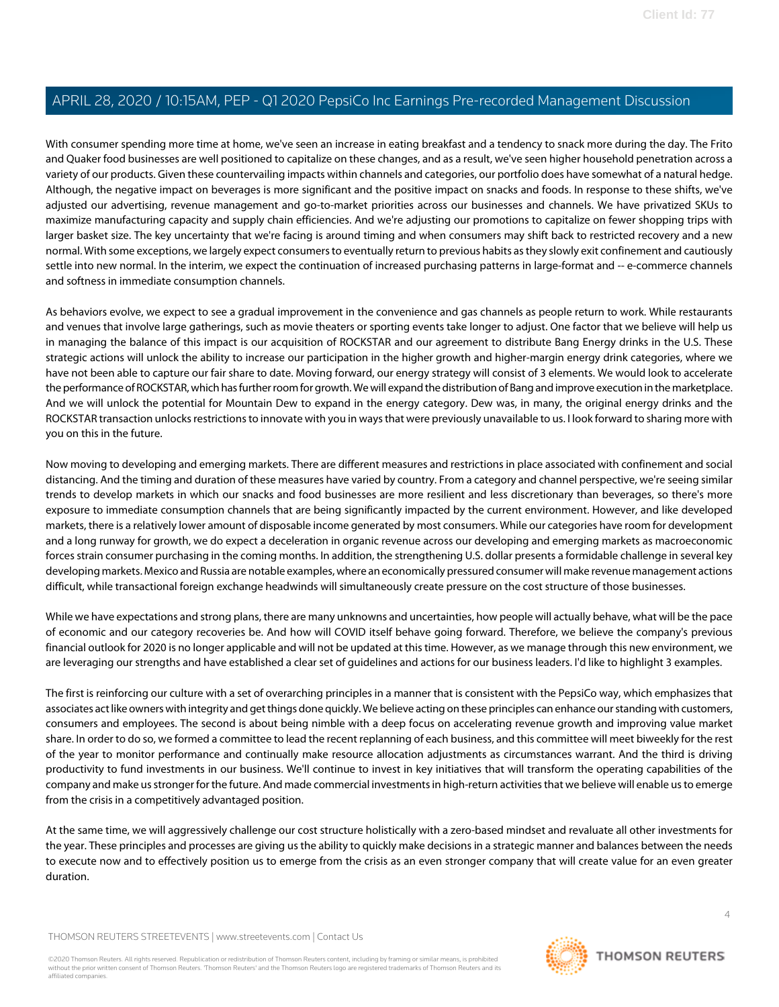With consumer spending more time at home, we've seen an increase in eating breakfast and a tendency to snack more during the day. The Frito and Quaker food businesses are well positioned to capitalize on these changes, and as a result, we've seen higher household penetration across a variety of our products. Given these countervailing impacts within channels and categories, our portfolio does have somewhat of a natural hedge. Although, the negative impact on beverages is more significant and the positive impact on snacks and foods. In response to these shifts, we've adjusted our advertising, revenue management and go-to-market priorities across our businesses and channels. We have privatized SKUs to maximize manufacturing capacity and supply chain efficiencies. And we're adjusting our promotions to capitalize on fewer shopping trips with larger basket size. The key uncertainty that we're facing is around timing and when consumers may shift back to restricted recovery and a new normal. With some exceptions, we largely expect consumers to eventually return to previous habits as they slowly exit confinement and cautiously settle into new normal. In the interim, we expect the continuation of increased purchasing patterns in large-format and -- e-commerce channels and softness in immediate consumption channels.

As behaviors evolve, we expect to see a gradual improvement in the convenience and gas channels as people return to work. While restaurants and venues that involve large gatherings, such as movie theaters or sporting events take longer to adjust. One factor that we believe will help us in managing the balance of this impact is our acquisition of ROCKSTAR and our agreement to distribute Bang Energy drinks in the U.S. These strategic actions will unlock the ability to increase our participation in the higher growth and higher-margin energy drink categories, where we have not been able to capture our fair share to date. Moving forward, our energy strategy will consist of 3 elements. We would look to accelerate the performance of ROCKSTAR, which has further room for growth. We will expand the distribution of Bang and improve execution in the marketplace. And we will unlock the potential for Mountain Dew to expand in the energy category. Dew was, in many, the original energy drinks and the ROCKSTAR transaction unlocks restrictions to innovate with you in ways that were previously unavailable to us. I look forward to sharing more with you on this in the future.

Now moving to developing and emerging markets. There are different measures and restrictions in place associated with confinement and social distancing. And the timing and duration of these measures have varied by country. From a category and channel perspective, we're seeing similar trends to develop markets in which our snacks and food businesses are more resilient and less discretionary than beverages, so there's more exposure to immediate consumption channels that are being significantly impacted by the current environment. However, and like developed markets, there is a relatively lower amount of disposable income generated by most consumers. While our categories have room for development and a long runway for growth, we do expect a deceleration in organic revenue across our developing and emerging markets as macroeconomic forces strain consumer purchasing in the coming months. In addition, the strengthening U.S. dollar presents a formidable challenge in several key developing markets. Mexico and Russia are notable examples, where an economically pressured consumer will make revenue management actions difficult, while transactional foreign exchange headwinds will simultaneously create pressure on the cost structure of those businesses.

While we have expectations and strong plans, there are many unknowns and uncertainties, how people will actually behave, what will be the pace of economic and our category recoveries be. And how will COVID itself behave going forward. Therefore, we believe the company's previous financial outlook for 2020 is no longer applicable and will not be updated at this time. However, as we manage through this new environment, we are leveraging our strengths and have established a clear set of guidelines and actions for our business leaders. I'd like to highlight 3 examples.

The first is reinforcing our culture with a set of overarching principles in a manner that is consistent with the PepsiCo way, which emphasizes that associates act like owners with integrity and get things done quickly. We believe acting on these principles can enhance our standing with customers, consumers and employees. The second is about being nimble with a deep focus on accelerating revenue growth and improving value market share. In order to do so, we formed a committee to lead the recent replanning of each business, and this committee will meet biweekly for the rest of the year to monitor performance and continually make resource allocation adjustments as circumstances warrant. And the third is driving productivity to fund investments in our business. We'll continue to invest in key initiatives that will transform the operating capabilities of the company and make us stronger for the future. And made commercial investments in high-return activities that we believe will enable us to emerge from the crisis in a competitively advantaged position.

At the same time, we will aggressively challenge our cost structure holistically with a zero-based mindset and revaluate all other investments for the year. These principles and processes are giving us the ability to quickly make decisions in a strategic manner and balances between the needs to execute now and to effectively position us to emerge from the crisis as an even stronger company that will create value for an even greater duration.

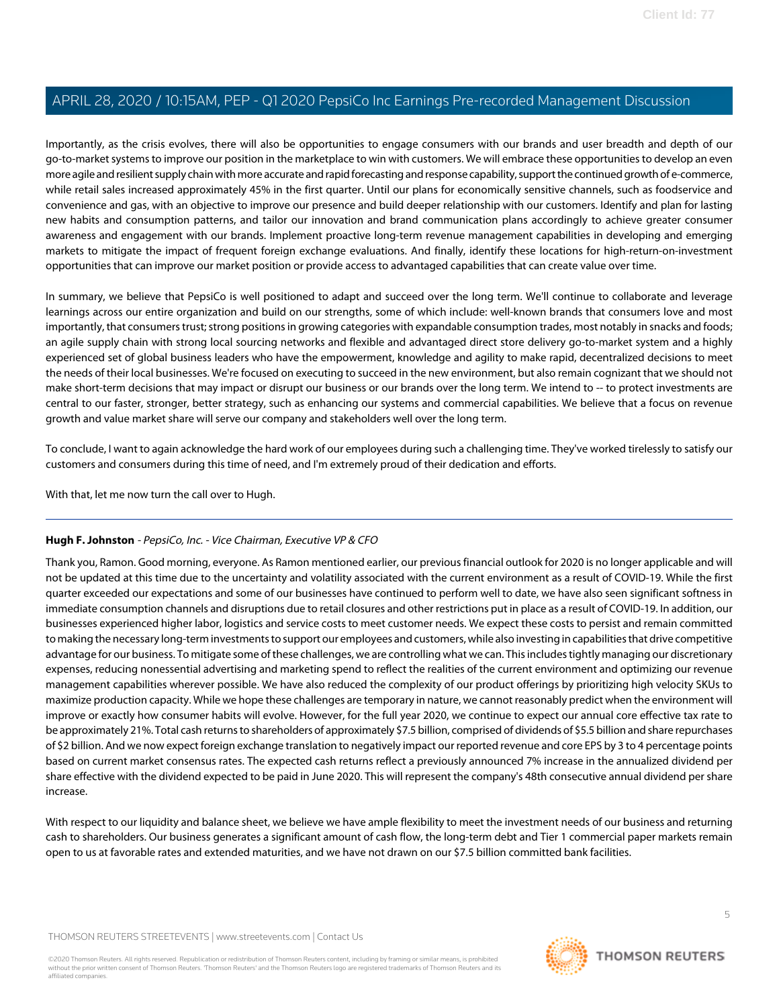Importantly, as the crisis evolves, there will also be opportunities to engage consumers with our brands and user breadth and depth of our go-to-market systems to improve our position in the marketplace to win with customers. We will embrace these opportunities to develop an even more agile and resilient supply chain with more accurate and rapid forecasting and response capability, support the continued growth of e-commerce, while retail sales increased approximately 45% in the first quarter. Until our plans for economically sensitive channels, such as foodservice and convenience and gas, with an objective to improve our presence and build deeper relationship with our customers. Identify and plan for lasting new habits and consumption patterns, and tailor our innovation and brand communication plans accordingly to achieve greater consumer awareness and engagement with our brands. Implement proactive long-term revenue management capabilities in developing and emerging markets to mitigate the impact of frequent foreign exchange evaluations. And finally, identify these locations for high-return-on-investment opportunities that can improve our market position or provide access to advantaged capabilities that can create value over time.

In summary, we believe that PepsiCo is well positioned to adapt and succeed over the long term. We'll continue to collaborate and leverage learnings across our entire organization and build on our strengths, some of which include: well-known brands that consumers love and most importantly, that consumers trust; strong positions in growing categories with expandable consumption trades, most notably in snacks and foods; an agile supply chain with strong local sourcing networks and flexible and advantaged direct store delivery go-to-market system and a highly experienced set of global business leaders who have the empowerment, knowledge and agility to make rapid, decentralized decisions to meet the needs of their local businesses. We're focused on executing to succeed in the new environment, but also remain cognizant that we should not make short-term decisions that may impact or disrupt our business or our brands over the long term. We intend to -- to protect investments are central to our faster, stronger, better strategy, such as enhancing our systems and commercial capabilities. We believe that a focus on revenue growth and value market share will serve our company and stakeholders well over the long term.

To conclude, I want to again acknowledge the hard work of our employees during such a challenging time. They've worked tirelessly to satisfy our customers and consumers during this time of need, and I'm extremely proud of their dedication and efforts.

<span id="page-4-0"></span>With that, let me now turn the call over to Hugh.

## **Hugh F. Johnston** - PepsiCo, Inc. - Vice Chairman, Executive VP & CFO

Thank you, Ramon. Good morning, everyone. As Ramon mentioned earlier, our previous financial outlook for 2020 is no longer applicable and will not be updated at this time due to the uncertainty and volatility associated with the current environment as a result of COVID-19. While the first quarter exceeded our expectations and some of our businesses have continued to perform well to date, we have also seen significant softness in immediate consumption channels and disruptions due to retail closures and other restrictions put in place as a result of COVID-19. In addition, our businesses experienced higher labor, logistics and service costs to meet customer needs. We expect these costs to persist and remain committed to making the necessary long-term investments to support our employees and customers, while also investing in capabilities that drive competitive advantage for our business. To mitigate some of these challenges, we are controlling what we can. This includes tightly managing our discretionary expenses, reducing nonessential advertising and marketing spend to reflect the realities of the current environment and optimizing our revenue management capabilities wherever possible. We have also reduced the complexity of our product offerings by prioritizing high velocity SKUs to maximize production capacity. While we hope these challenges are temporary in nature, we cannot reasonably predict when the environment will improve or exactly how consumer habits will evolve. However, for the full year 2020, we continue to expect our annual core effective tax rate to be approximately 21%. Total cash returns to shareholders of approximately \$7.5 billion, comprised of dividends of \$5.5 billion and share repurchases of \$2 billion. And we now expect foreign exchange translation to negatively impact our reported revenue and core EPS by 3 to 4 percentage points based on current market consensus rates. The expected cash returns reflect a previously announced 7% increase in the annualized dividend per share effective with the dividend expected to be paid in June 2020. This will represent the company's 48th consecutive annual dividend per share increase.

With respect to our liquidity and balance sheet, we believe we have ample flexibility to meet the investment needs of our business and returning cash to shareholders. Our business generates a significant amount of cash flow, the long-term debt and Tier 1 commercial paper markets remain open to us at favorable rates and extended maturities, and we have not drawn on our \$7.5 billion committed bank facilities.